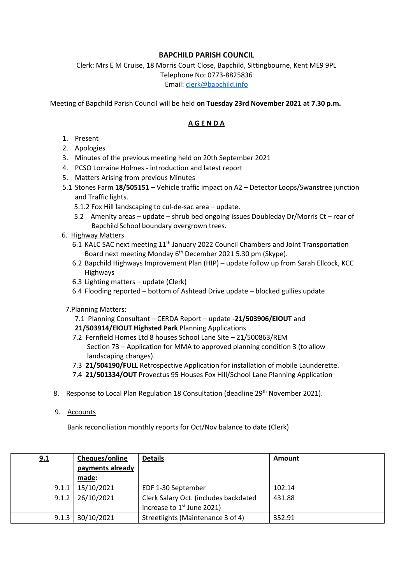## **BAPCHILD PARISH COUNCIL**

Clerk: Mrs E M Cruise, 18 Morris Court Close, Bapchild, Sittingbourne, Kent ME9 9PL Telephone No: 0773-8825836 Email: [clerk@bapchild.info](mailto:clerk@bapchild.info)

Meeting of Bapchild Parish Council will be held **on Tuesday 23rd November 2021 at 7.30 p.m.** 

## **A G E N D A**

- 1. Present
- 2. Apologies
- 3. Minutes of the previous meeting held on 20th September 2021
- 4. PCSO Lorraine Holmes introduction and latest report
- 5. Matters Arising from previous Minutes
- 5.1 Stones Farm **18/505151** Vehicle traffic impact on A2 Detector Loops/Swanstree junction and Traffic lights.
	- 5.1.2 Fox Hill landscaping to cul-de-sac area update.
	- 5.2 Amenity areas update shrub bed ongoing issues Doubleday Dr/Morris Ct rear of Bapchild School boundary overgrown trees.
- 6. Highway Matters
	- 6.1 KALC SAC next meeting 11<sup>th</sup> January 2022 Council Chambers and Joint Transportation Board next meeting Monday 6th December 2021 5.30 pm (Skype).
	- 6.2 Bapchild Highways Improvement Plan (HIP) update follow up from Sarah Ellcock, KCC Highways
	- 6.3 Lighting matters update (Clerk)
	- 6.4 Flooding reported bottom of Ashtead Drive update blocked gullies update
- 7.Planning Matters:
	- 7.1 Planning Consultant CERDA Report update -**21/503906/EIOUT** and
	- **21/503914/EIOUT Highsted Park** Planning Applications
	- 7.2 Fernfield Homes Ltd 8 houses School Lane Site 21/500863/REM Section 73 – Application for MMA to approved planning condition 3 (to allow landscaping changes).
	- 7.3 **21/504190/FULL** Retrospective Application for installation of mobile Launderette.
	- 7.4 **21/501334/OUT** Provectus 95 Houses Fox Hill/School Lane Planning Application
- 8. Response to Local Plan Regulation 18 Consultation (deadline 29<sup>th</sup> November 2021).
- 9. Accounts

Bank reconciliation monthly reports for Oct/Nov balance to date (Clerk)

| 9.1   | Cheques/online   | <b>Details</b>                                                        | Amount |
|-------|------------------|-----------------------------------------------------------------------|--------|
|       | payments already |                                                                       |        |
|       | made:            |                                                                       |        |
| 9.1.1 | 15/10/2021       | EDF 1-30 September                                                    | 102.14 |
| 9.1.2 | 26/10/2021       | Clerk Salary Oct. (includes backdated<br>increase to $1st$ June 2021) | 431.88 |
| 9.1.3 | 30/10/2021       | Streetlights (Maintenance 3 of 4)                                     | 352.91 |